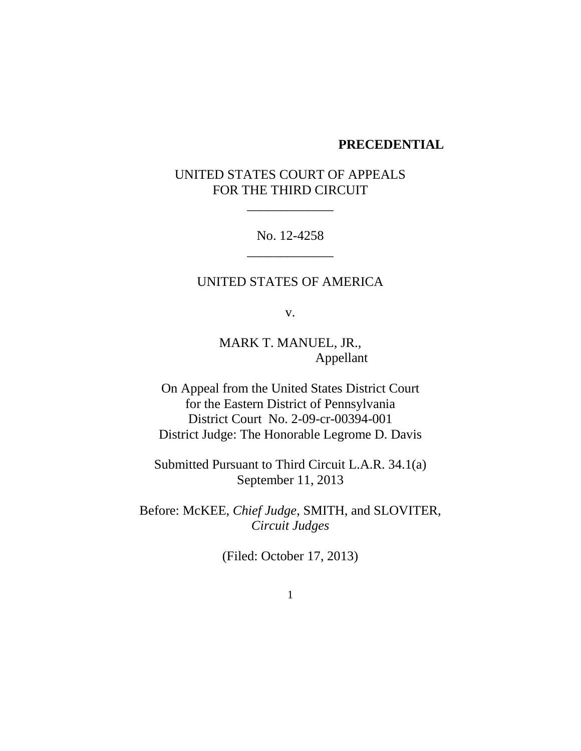#### **PRECEDENTIAL**

# UNITED STATES COURT OF APPEALS FOR THE THIRD CIRCUIT

\_\_\_\_\_\_\_\_\_\_\_\_\_

No. 12-4258 \_\_\_\_\_\_\_\_\_\_\_\_\_

## UNITED STATES OF AMERICA

v.

MARK T. MANUEL, JR., Appellant

On Appeal from the United States District Court for the Eastern District of Pennsylvania District Court No. 2-09-cr-00394-001 District Judge: The Honorable Legrome D. Davis

Submitted Pursuant to Third Circuit L.A.R. 34.1(a) September 11, 2013

Before: McKEE, *Chief Judge*, SMITH, and SLOVITER, *Circuit Judges*

(Filed: October 17, 2013)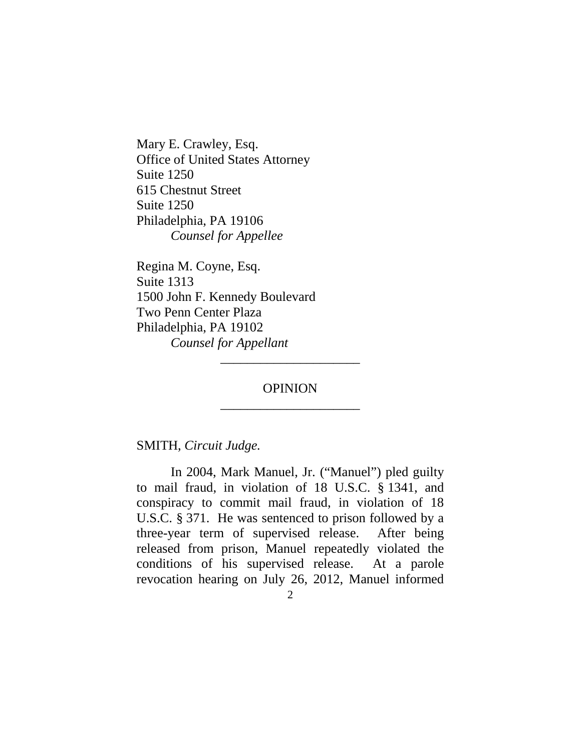Mary E. Crawley, Esq. Office of United States Attorney Suite 1250 615 Chestnut Street Suite 1250 Philadelphia, PA 19106 *Counsel for Appellee*

Regina M. Coyne, Esq. Suite 1313 1500 John F. Kennedy Boulevard Two Penn Center Plaza Philadelphia, PA 19102 *Counsel for Appellant*

# **OPINION** \_\_\_\_\_\_\_\_\_\_\_\_\_\_\_\_\_\_\_\_\_

\_\_\_\_\_\_\_\_\_\_\_\_\_\_\_\_\_\_\_\_\_

SMITH, *Circuit Judge.*

In 2004, Mark Manuel, Jr. ("Manuel") pled guilty to mail fraud, in violation of 18 U.S.C. § 1341, and conspiracy to commit mail fraud, in violation of 18 U.S.C. § 371. He was sentenced to prison followed by a three-year term of supervised release. After being released from prison, Manuel repeatedly violated the conditions of his supervised release. At a parole revocation hearing on July 26, 2012, Manuel informed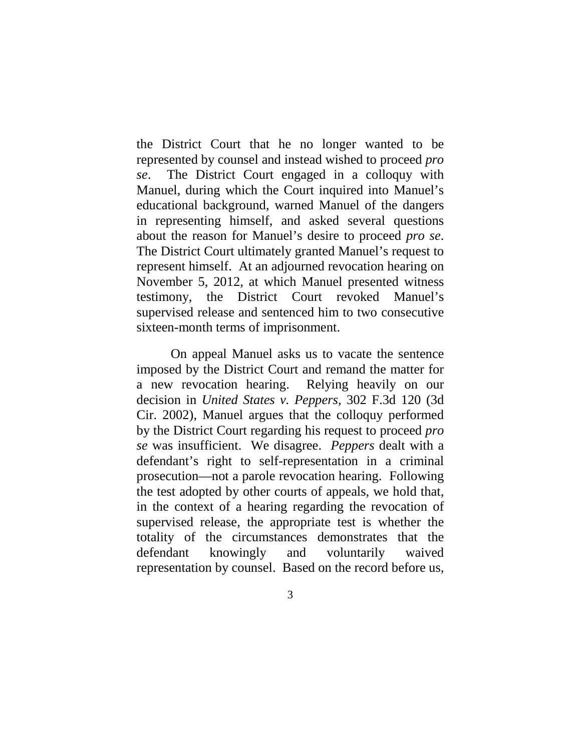the District Court that he no longer wanted to be represented by counsel and instead wished to proceed *pro se*. The District Court engaged in a colloquy with Manuel, during which the Court inquired into Manuel's educational background, warned Manuel of the dangers in representing himself, and asked several questions about the reason for Manuel's desire to proceed *pro se*. The District Court ultimately granted Manuel's request to represent himself. At an adjourned revocation hearing on November 5, 2012, at which Manuel presented witness testimony, the District Court revoked Manuel's supervised release and sentenced him to two consecutive sixteen-month terms of imprisonment.

On appeal Manuel asks us to vacate the sentence imposed by the District Court and remand the matter for a new revocation hearing. Relying heavily on our decision in *United States v. Peppers*, 302 F.3d 120 (3d Cir. 2002), Manuel argues that the colloquy performed by the District Court regarding his request to proceed *pro se* was insufficient. We disagree. *Peppers* dealt with a defendant's right to self-representation in a criminal prosecution—not a parole revocation hearing. Following the test adopted by other courts of appeals, we hold that, in the context of a hearing regarding the revocation of supervised release, the appropriate test is whether the totality of the circumstances demonstrates that the defendant knowingly and voluntarily waived representation by counsel. Based on the record before us,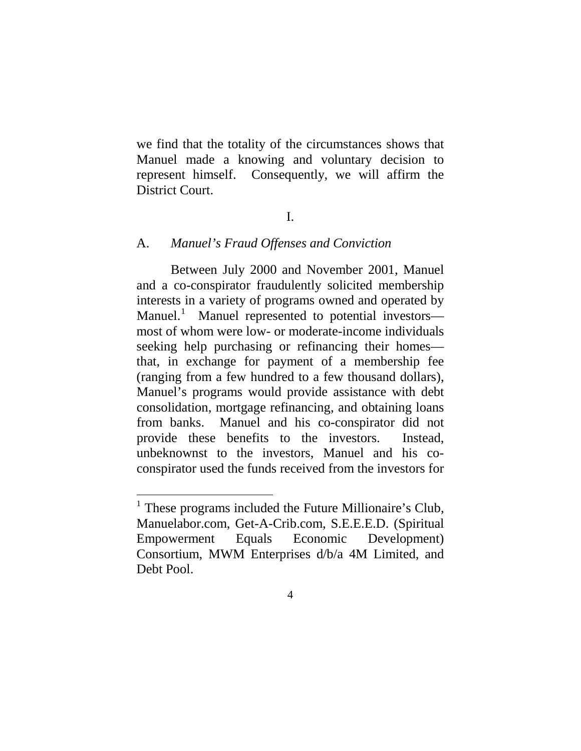we find that the totality of the circumstances shows that Manuel made a knowing and voluntary decision to represent himself. Consequently, we will affirm the District Court.

### I.

#### A. *Manuel's Fraud Offenses and Conviction*

Between July 2000 and November 2001, Manuel and a co-conspirator fraudulently solicited membership interests in a variety of programs owned and operated by Manuel.<sup>[1](#page-3-0)</sup> Manuel represented to potential investors most of whom were low- or moderate-income individuals seeking help purchasing or refinancing their homes that, in exchange for payment of a membership fee (ranging from a few hundred to a few thousand dollars), Manuel's programs would provide assistance with debt consolidation, mortgage refinancing, and obtaining loans from banks. Manuel and his co-conspirator did not provide these benefits to the investors. Instead, unbeknownst to the investors, Manuel and his coconspirator used the funds received from the investors for

<span id="page-3-0"></span> $<sup>1</sup>$  These programs included the Future Millionaire's Club,</sup> Manuelabor.com, Get-A-Crib.com, S.E.E.E.D. (Spiritual Empowerment Equals Economic Development) Consortium, MWM Enterprises d/b/a 4M Limited, and Debt Pool.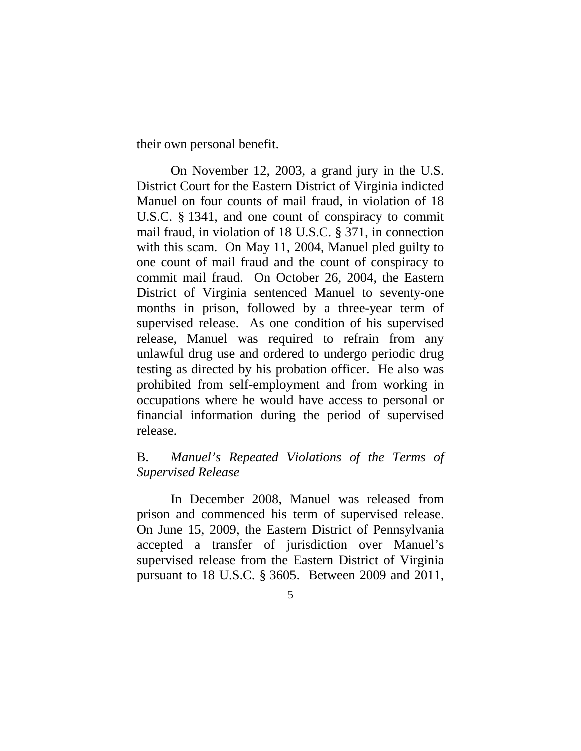their own personal benefit.

On November 12, 2003, a grand jury in the U.S. District Court for the Eastern District of Virginia indicted Manuel on four counts of mail fraud, in violation of 18 U.S.C. § 1341, and one count of conspiracy to commit mail fraud, in violation of 18 U.S.C. § 371, in connection with this scam. On May 11, 2004, Manuel pled guilty to one count of mail fraud and the count of conspiracy to commit mail fraud. On October 26, 2004, the Eastern District of Virginia sentenced Manuel to seventy-one months in prison, followed by a three-year term of supervised release. As one condition of his supervised release, Manuel was required to refrain from any unlawful drug use and ordered to undergo periodic drug testing as directed by his probation officer. He also was prohibited from self-employment and from working in occupations where he would have access to personal or financial information during the period of supervised release.

## B. *Manuel's Repeated Violations of the Terms of Supervised Release*

In December 2008, Manuel was released from prison and commenced his term of supervised release. On June 15, 2009, the Eastern District of Pennsylvania accepted a transfer of jurisdiction over Manuel's supervised release from the Eastern District of Virginia pursuant to 18 U.S.C. § 3605. Between 2009 and 2011,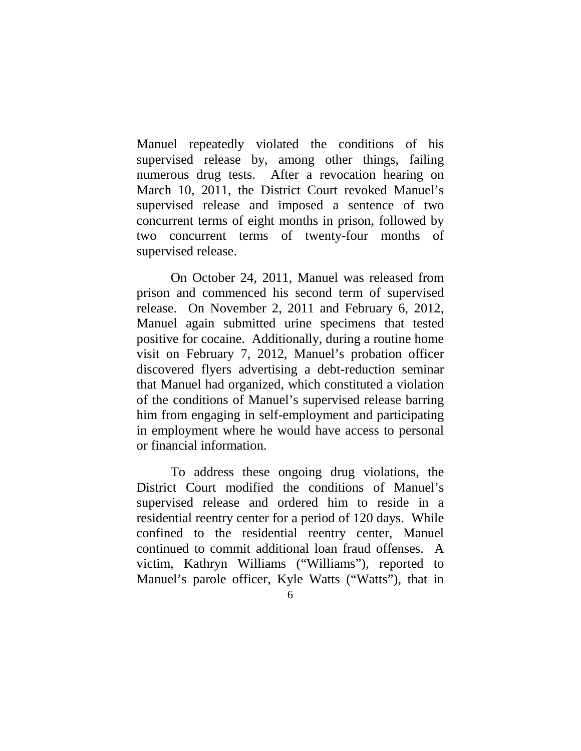Manuel repeatedly violated the conditions of his supervised release by, among other things, failing numerous drug tests. After a revocation hearing on March 10, 2011, the District Court revoked Manuel's supervised release and imposed a sentence of two concurrent terms of eight months in prison, followed by two concurrent terms of twenty-four months of supervised release.

On October 24, 2011, Manuel was released from prison and commenced his second term of supervised release. On November 2, 2011 and February 6, 2012, Manuel again submitted urine specimens that tested positive for cocaine. Additionally, during a routine home visit on February 7, 2012, Manuel's probation officer discovered flyers advertising a debt-reduction seminar that Manuel had organized, which constituted a violation of the conditions of Manuel's supervised release barring him from engaging in self-employment and participating in employment where he would have access to personal or financial information.

To address these ongoing drug violations, the District Court modified the conditions of Manuel's supervised release and ordered him to reside in a residential reentry center for a period of 120 days. While confined to the residential reentry center, Manuel continued to commit additional loan fraud offenses. A victim, Kathryn Williams ("Williams"), reported to Manuel's parole officer, Kyle Watts ("Watts"), that in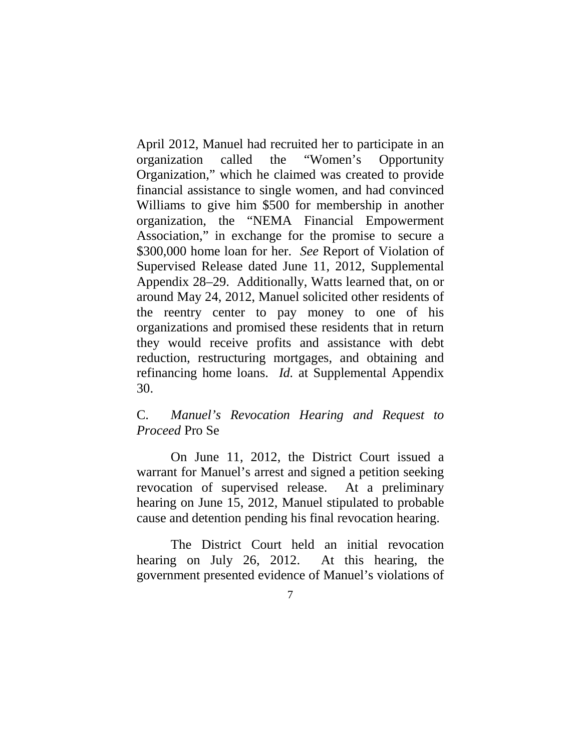April 2012, Manuel had recruited her to participate in an organization called the "Women's Opportunity Organization," which he claimed was created to provide financial assistance to single women, and had convinced Williams to give him \$500 for membership in another organization, the "NEMA Financial Empowerment Association," in exchange for the promise to secure a \$300,000 home loan for her. *See* Report of Violation of Supervised Release dated June 11, 2012, Supplemental Appendix 28–29. Additionally, Watts learned that, on or around May 24, 2012, Manuel solicited other residents of the reentry center to pay money to one of his organizations and promised these residents that in return they would receive profits and assistance with debt reduction, restructuring mortgages, and obtaining and refinancing home loans. *Id.* at Supplemental Appendix 30.

## C. *Manuel's Revocation Hearing and Request to Proceed* Pro Se

On June 11, 2012, the District Court issued a warrant for Manuel's arrest and signed a petition seeking revocation of supervised release. At a preliminary hearing on June 15, 2012, Manuel stipulated to probable cause and detention pending his final revocation hearing.

The District Court held an initial revocation hearing on July 26, 2012. At this hearing, the government presented evidence of Manuel's violations of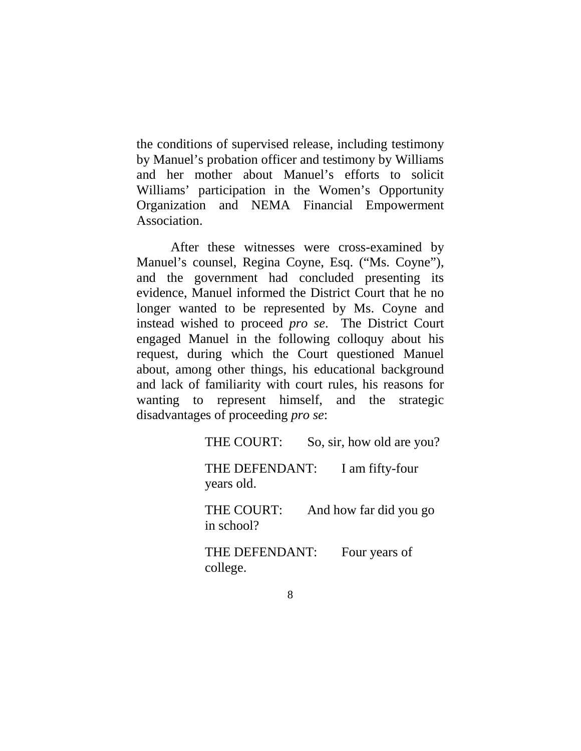the conditions of supervised release, including testimony by Manuel's probation officer and testimony by Williams and her mother about Manuel's efforts to solicit Williams' participation in the Women's Opportunity Organization and NEMA Financial Empowerment Association.

After these witnesses were cross-examined by Manuel's counsel, Regina Coyne, Esq. ("Ms. Coyne"), and the government had concluded presenting its evidence, Manuel informed the District Court that he no longer wanted to be represented by Ms. Coyne and instead wished to proceed *pro se*. The District Court engaged Manuel in the following colloquy about his request, during which the Court questioned Manuel about, among other things, his educational background and lack of familiarity with court rules, his reasons for wanting to represent himself, and the strategic disadvantages of proceeding *pro se*:

THE COURT: So, sir, how old are you?

THE DEFENDANT: I am fifty-four years old.

THE COURT: And how far did you go in school?

THE DEFENDANT: Four years of college.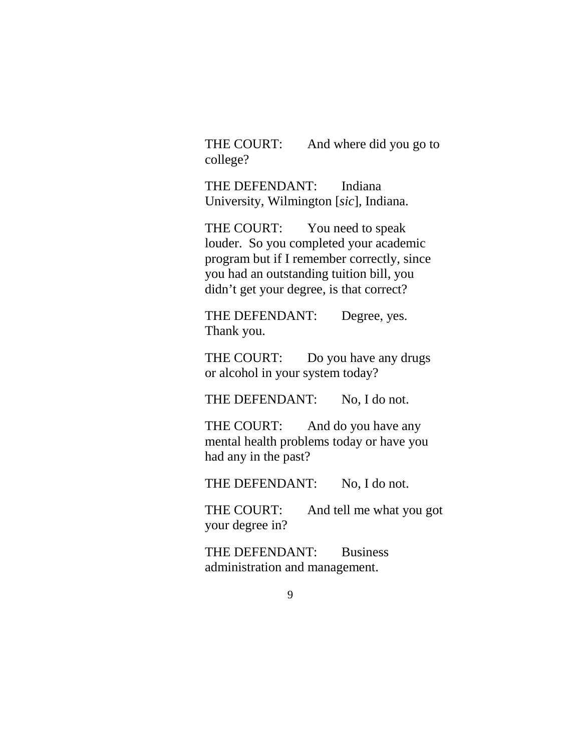THE COURT: And where did you go to college?

THE DEFENDANT: Indiana University, Wilmington [*sic*], Indiana.

THE COURT: You need to speak louder. So you completed your academic program but if I remember correctly, since you had an outstanding tuition bill, you didn't get your degree, is that correct?

THE DEFENDANT: Degree, yes. Thank you.

THE COURT: Do you have any drugs or alcohol in your system today?

THE DEFENDANT: No. I do not.

THE COURT: And do you have any mental health problems today or have you had any in the past?

THE DEFENDANT: No, I do not.

THE COURT: And tell me what you got your degree in?

THE DEFENDANT: Business administration and management.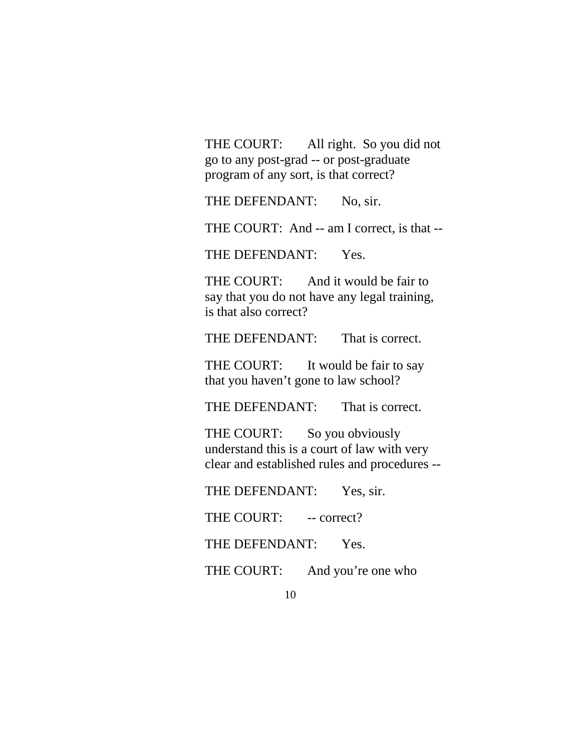THE COURT: All right. So you did not go to any post-grad -- or post-graduate program of any sort, is that correct?

THE DEFENDANT: No, sir.

THE COURT: And -- am I correct, is that --

THE DEFENDANT: Yes.

THE COURT: And it would be fair to say that you do not have any legal training, is that also correct?

THE DEFENDANT: That is correct.

THE COURT: It would be fair to say that you haven't gone to law school?

THE DEFENDANT: That is correct.

THE COURT: So you obviously understand this is a court of law with very clear and established rules and procedures --

THE DEFENDANT: Yes, sir.

THE COURT: -- correct?

THE DEFENDANT: Yes.

THE COURT: And you're one who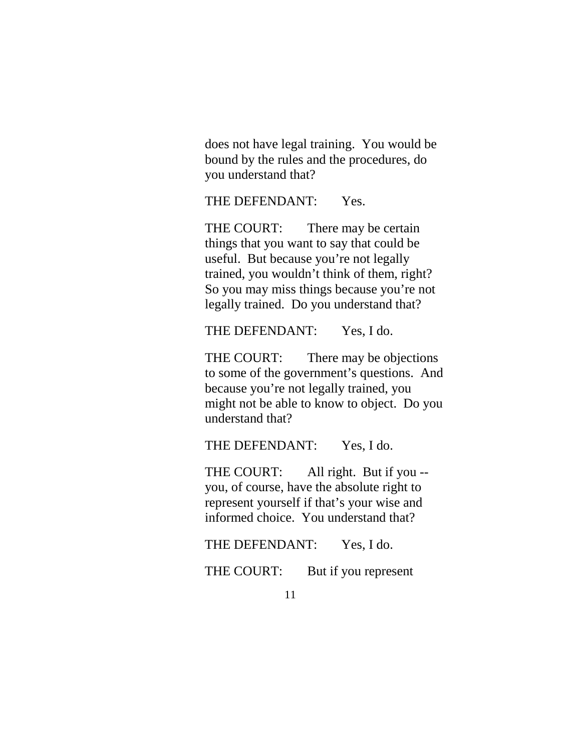does not have legal training. You would be bound by the rules and the procedures, do you understand that?

THE DEFENDANT: Yes.

THE COURT: There may be certain things that you want to say that could be useful. But because you're not legally trained, you wouldn't think of them, right? So you may miss things because you're not legally trained. Do you understand that?

THE DEFENDANT: Yes, I do.

THE COURT: There may be objections to some of the government's questions. And because you're not legally trained, you might not be able to know to object. Do you understand that?

THE DEFENDANT: Yes, I do.

THE COURT: All right. But if you -you, of course, have the absolute right to represent yourself if that's your wise and informed choice. You understand that?

THE DEFENDANT: Yes, I do.

THE COURT: But if you represent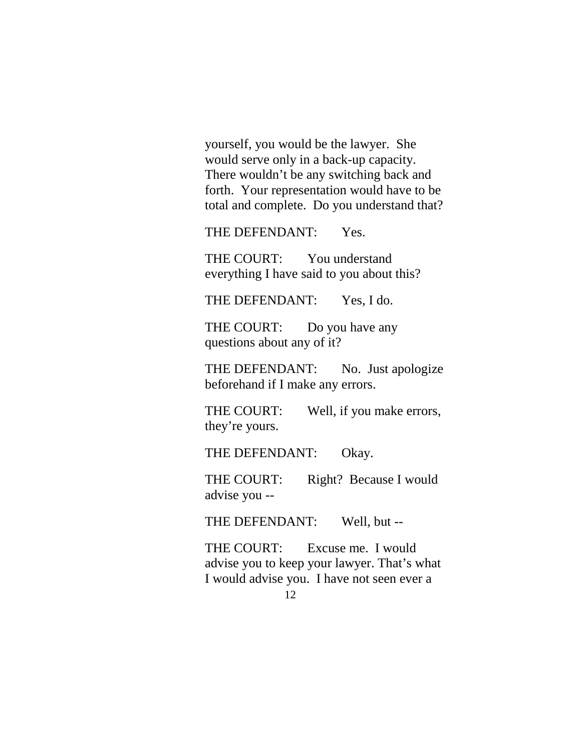yourself, you would be the lawyer. She would serve only in a back-up capacity. There wouldn't be any switching back and forth. Your representation would have to be total and complete. Do you understand that?

THE DEFENDANT: Yes.

THE COURT: You understand everything I have said to you about this?

THE DEFENDANT: Yes, I do.

THE COURT: Do you have any questions about any of it?

THE DEFENDANT: No. Just apologize beforehand if I make any errors.

THE COURT: Well, if you make errors, they're yours.

THE DEFENDANT: Okay.

THE COURT: Right? Because I would advise you --

THE DEFENDANT: Well, but --

THE COURT: Excuse me. I would advise you to keep your lawyer. That's what I would advise you. I have not seen ever a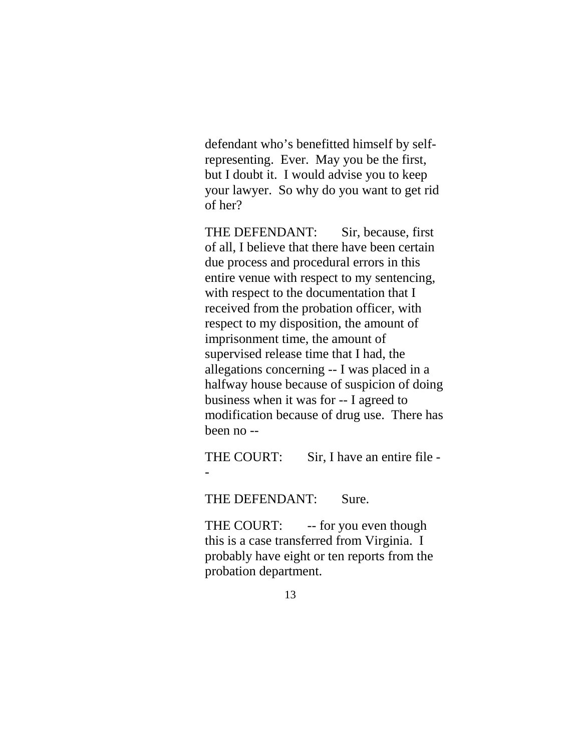defendant who's benefitted himself by selfrepresenting. Ever. May you be the first, but I doubt it. I would advise you to keep your lawyer. So why do you want to get rid of her?

THE DEFENDANT: Sir, because, first of all, I believe that there have been certain due process and procedural errors in this entire venue with respect to my sentencing, with respect to the documentation that I received from the probation officer, with respect to my disposition, the amount of imprisonment time, the amount of supervised release time that I had, the allegations concerning -- I was placed in a halfway house because of suspicion of doing business when it was for -- I agreed to modification because of drug use. There has been no --

THE COURT: Sir, I have an entire file --

THE DEFENDANT: Sure.

THE COURT: -- for you even though this is a case transferred from Virginia. I probably have eight or ten reports from the probation department.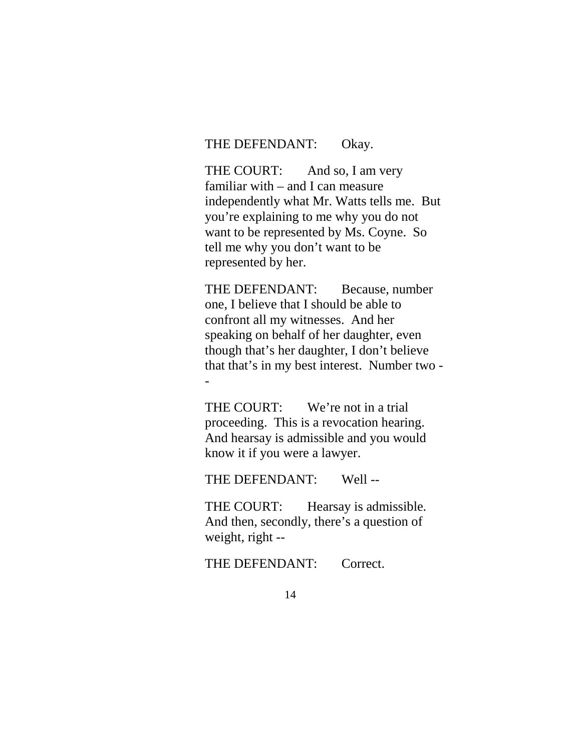## THE DEFENDANT: Okay.

THE COURT: And so, I am very familiar with – and I can measure independently what Mr. Watts tells me. But you're explaining to me why you do not want to be represented by Ms. Coyne. So tell me why you don't want to be represented by her.

THE DEFENDANT: Because, number one, I believe that I should be able to confront all my witnesses. And her speaking on behalf of her daughter, even though that's her daughter, I don't believe that that's in my best interest. Number two - -

THE COURT: We're not in a trial proceeding. This is a revocation hearing. And hearsay is admissible and you would know it if you were a lawyer.

THE DEFENDANT: Well --

THE COURT: Hearsay is admissible. And then, secondly, there's a question of weight, right --

THE DEFENDANT: Correct.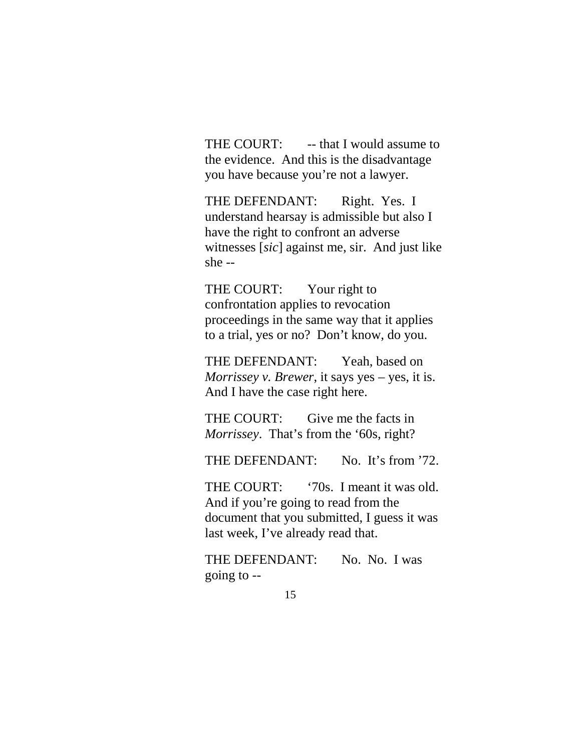THE COURT: -- that I would assume to the evidence. And this is the disadvantage you have because you're not a lawyer.

THE DEFENDANT: Right. Yes. I understand hearsay is admissible but also I have the right to confront an adverse witnesses [*sic*] against me, sir. And just like she --

THE COURT: Your right to confrontation applies to revocation proceedings in the same way that it applies to a trial, yes or no? Don't know, do you.

THE DEFENDANT: Yeah, based on *Morrissey v. Brewer*, it says yes – yes, it is. And I have the case right here.

THE COURT: Give me the facts in *Morrissey*. That's from the '60s, right?

THE DEFENDANT: No. It's from '72.

THE COURT: '70s. I meant it was old. And if you're going to read from the document that you submitted, I guess it was last week, I've already read that.

THE DEFENDANT: No. No. I was going to --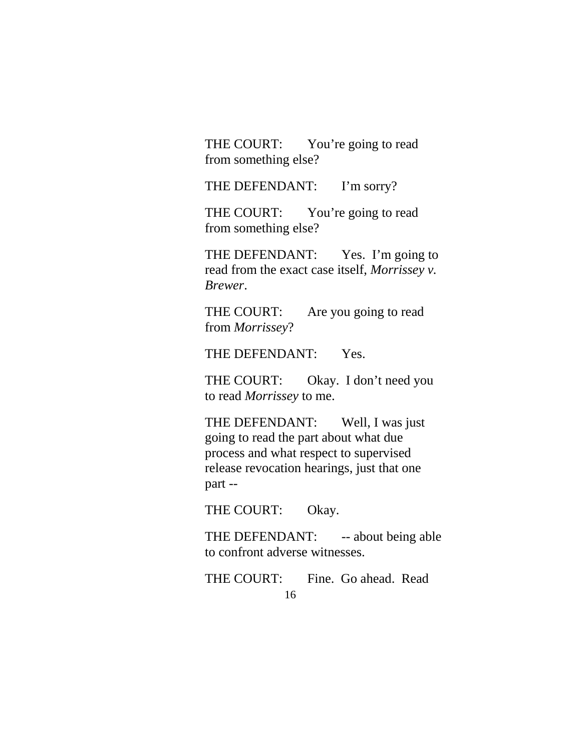THE COURT: You're going to read from something else?

THE DEFENDANT: I'm sorry?

THE COURT: You're going to read from something else?

THE DEFENDANT: Yes. I'm going to read from the exact case itself, *Morrissey v. Brewer*.

THE COURT: Are you going to read from *Morrissey*?

THE DEFENDANT: Yes.

THE COURT: Okay. I don't need you to read *Morrissey* to me.

THE DEFENDANT: Well, I was just going to read the part about what due process and what respect to supervised release revocation hearings, just that one part --

THE COURT: Okay.

THE DEFENDANT: -- about being able to confront adverse witnesses.

16 THE COURT: Fine. Go ahead. Read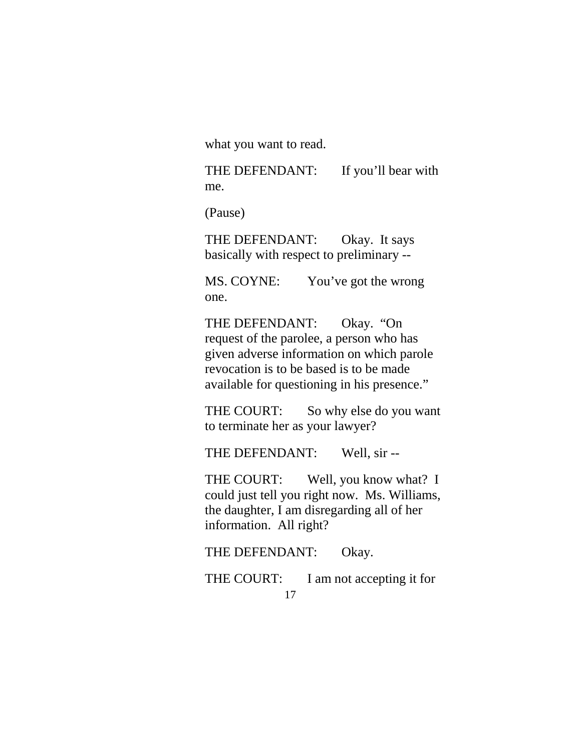what you want to read.

THE DEFENDANT: If you'll bear with me.

(Pause)

THE DEFENDANT: Okay. It says basically with respect to preliminary --

MS. COYNE: You've got the wrong one.

THE DEFENDANT: Okay. "On request of the parolee, a person who has given adverse information on which parole revocation is to be based is to be made available for questioning in his presence."

THE COURT: So why else do you want to terminate her as your lawyer?

THE DEFENDANT: Well, sir --

THE COURT: Well, you know what? I could just tell you right now. Ms. Williams, the daughter, I am disregarding all of her information. All right?

THE DEFENDANT: Okay.

17 THE COURT: I am not accepting it for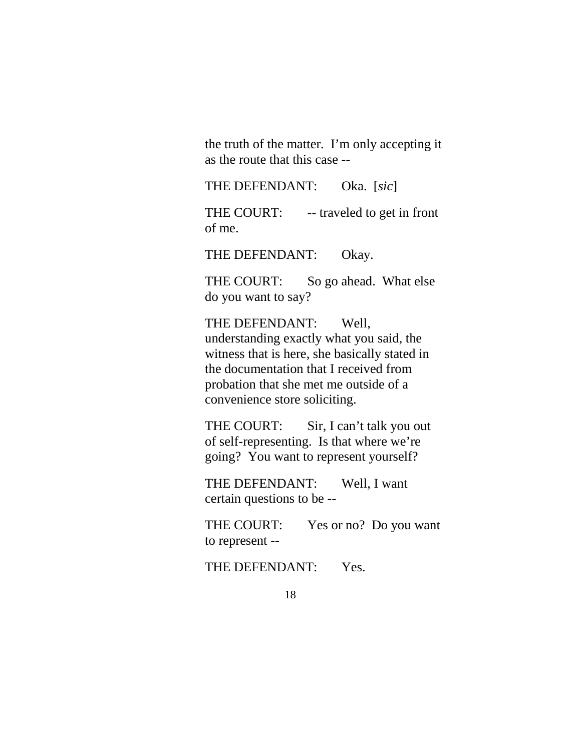the truth of the matter. I'm only accepting it as the route that this case --

THE DEFENDANT: Oka. [*sic*]

THE COURT: -- traveled to get in front of me.

THE DEFENDANT: Okay.

THE COURT: So go ahead. What else do you want to say?

THE DEFENDANT: Well, understanding exactly what you said, the witness that is here, she basically stated in the documentation that I received from probation that she met me outside of a convenience store soliciting.

THE COURT: Sir, I can't talk you out of self-representing. Is that where we're going? You want to represent yourself?

THE DEFENDANT: Well, I want certain questions to be --

THE COURT: Yes or no? Do you want to represent --

THE DEFENDANT: Yes.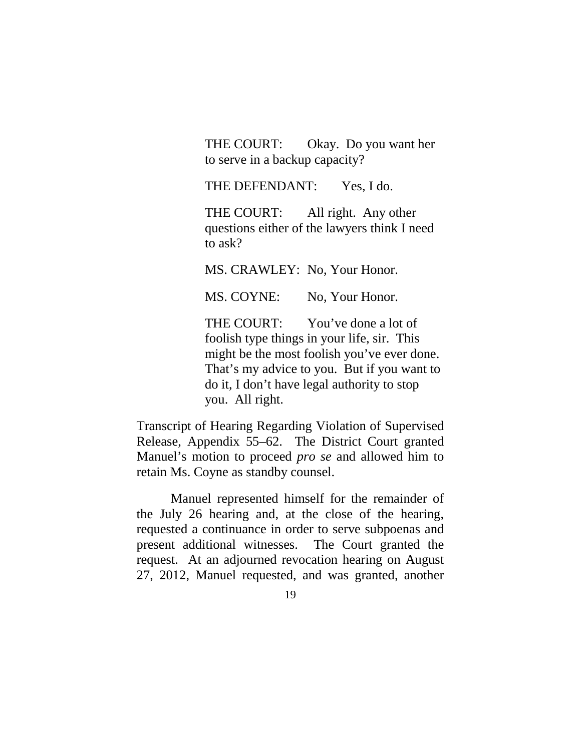THE COURT: Okay. Do you want her to serve in a backup capacity?

THE DEFENDANT: Yes, I do.

THE COURT: All right. Any other questions either of the lawyers think I need to ask?

MS. CRAWLEY: No, Your Honor.

MS. COYNE: No, Your Honor.

THE COURT: You've done a lot of foolish type things in your life, sir. This might be the most foolish you've ever done. That's my advice to you. But if you want to do it, I don't have legal authority to stop you. All right.

Transcript of Hearing Regarding Violation of Supervised Release, Appendix 55–62. The District Court granted Manuel's motion to proceed *pro se* and allowed him to retain Ms. Coyne as standby counsel.

Manuel represented himself for the remainder of the July 26 hearing and, at the close of the hearing, requested a continuance in order to serve subpoenas and present additional witnesses. The Court granted the request. At an adjourned revocation hearing on August 27, 2012, Manuel requested, and was granted, another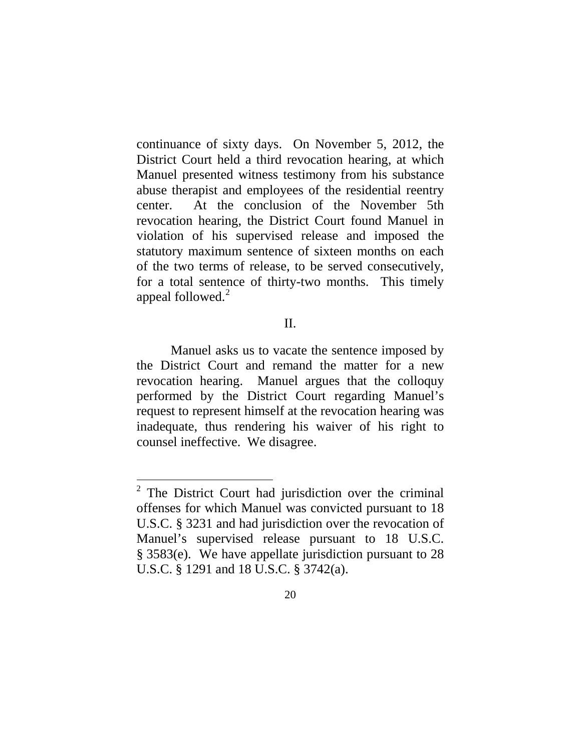continuance of sixty days. On November 5, 2012, the District Court held a third revocation hearing, at which Manuel presented witness testimony from his substance abuse therapist and employees of the residential reentry center. At the conclusion of the November 5th revocation hearing, the District Court found Manuel in violation of his supervised release and imposed the statutory maximum sentence of sixteen months on each of the two terms of release, to be served consecutively, for a total sentence of thirty-two months. This timely appeal followed. [2](#page-19-0)

## II.

Manuel asks us to vacate the sentence imposed by the District Court and remand the matter for a new revocation hearing. Manuel argues that the colloquy performed by the District Court regarding Manuel's request to represent himself at the revocation hearing was inadequate, thus rendering his waiver of his right to counsel ineffective. We disagree.

<span id="page-19-0"></span> <sup>2</sup> The District Court had jurisdiction over the criminal offenses for which Manuel was convicted pursuant to 18 U.S.C. § 3231 and had jurisdiction over the revocation of Manuel's supervised release pursuant to 18 U.S.C. § 3583(e). We have appellate jurisdiction pursuant to 28 U.S.C. § 1291 and 18 U.S.C. § 3742(a).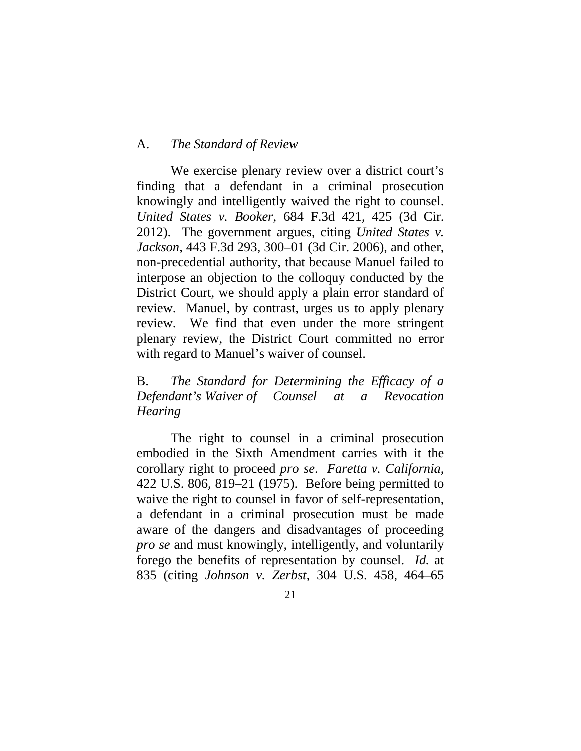## A. *The Standard of Review*

We exercise plenary review over a district court's finding that a defendant in a criminal prosecution knowingly and intelligently waived the right to counsel. *United States v. Booker*, 684 F.3d 421, 425 (3d Cir. 2012). The government argues, citing *United States v. Jackson*, 443 F.3d 293, 300–01 (3d Cir. 2006), and other, non-precedential authority, that because Manuel failed to interpose an objection to the colloquy conducted by the District Court, we should apply a plain error standard of review. Manuel, by contrast, urges us to apply plenary review. We find that even under the more stringent plenary review, the District Court committed no error with regard to Manuel's waiver of counsel.

B. *The Standard for Determining the Efficacy of a Defendant's Waiver of Counsel at a Revocation Hearing*

The right to counsel in a criminal prosecution embodied in the Sixth Amendment carries with it the corollary right to proceed *pro se*. *Faretta v. California*, 422 U.S. 806, 819–21 (1975). Before being permitted to waive the right to counsel in favor of self-representation, a defendant in a criminal prosecution must be made aware of the dangers and disadvantages of proceeding *pro se* and must knowingly, intelligently, and voluntarily forego the benefits of representation by counsel. *Id.* at 835 (citing *Johnson v. Zerbst*, 304 U.S. 458, 464–65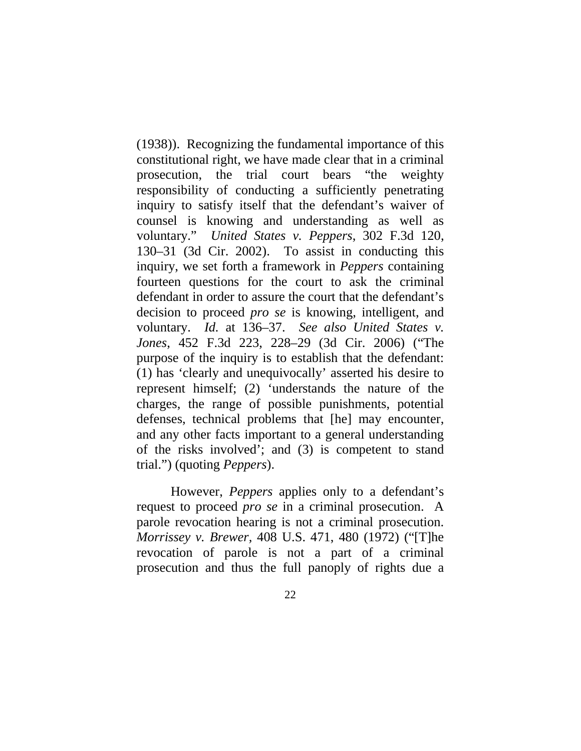(1938)). Recognizing the fundamental importance of this constitutional right, we have made clear that in a criminal prosecution, the trial court bears "the weighty responsibility of conducting a sufficiently penetrating inquiry to satisfy itself that the defendant's waiver of counsel is knowing and understanding as well as voluntary." *United States v. Peppers*, 302 F.3d 120, 130–31 (3d Cir. 2002). To assist in conducting this inquiry, we set forth a framework in *Peppers* containing fourteen questions for the court to ask the criminal defendant in order to assure the court that the defendant's decision to proceed *pro se* is knowing, intelligent, and voluntary. *Id.* at 136–37. *See also United States v. Jones*, 452 F.3d 223, 228–29 (3d Cir. 2006) ("The purpose of the inquiry is to establish that the defendant: (1) has 'clearly and unequivocally' asserted his desire to represent himself; (2) 'understands the nature of the charges, the range of possible punishments, potential defenses, technical problems that [he] may encounter, and any other facts important to a general understanding of the risks involved'; and (3) is competent to stand trial.") (quoting *Peppers*).

However, *Peppers* applies only to a defendant's request to proceed *pro se* in a criminal prosecution. A parole revocation hearing is not a criminal prosecution. *Morrissey v. Brewer,* 408 U.S. 471, 480 (1972) ("[T]he revocation of parole is not a part of a criminal prosecution and thus the full panoply of rights due a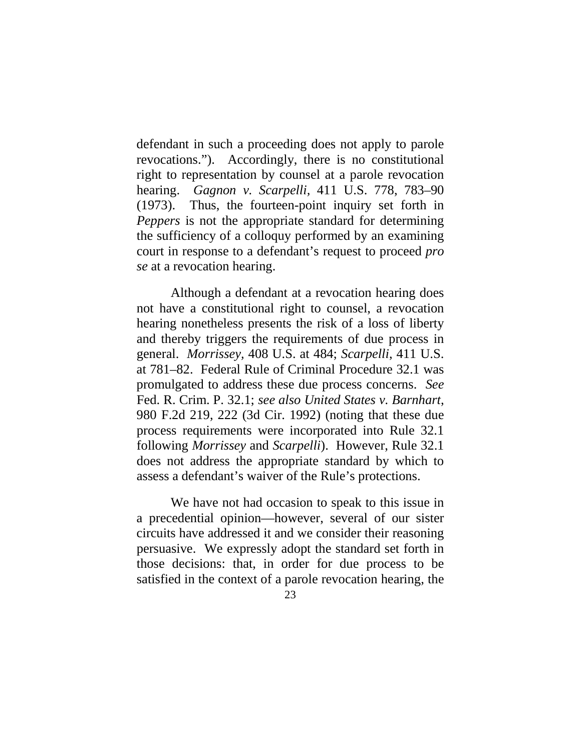defendant in such a proceeding does not apply to parole revocations."). Accordingly, there is no constitutional right to representation by counsel at a parole revocation hearing. *Gagnon v. Scarpelli,* 411 U.S. 778, 783–90 (1973). Thus, the fourteen-point inquiry set forth in *Peppers* is not the appropriate standard for determining the sufficiency of a colloquy performed by an examining court in response to a defendant's request to proceed *pro se* at a revocation hearing.

Although a defendant at a revocation hearing does not have a constitutional right to counsel, a revocation hearing nonetheless presents the risk of a loss of liberty and thereby triggers the requirements of due process in general. *Morrissey,* 408 U.S. at 484; *Scarpelli*, 411 U.S. at 781–82. Federal Rule of Criminal Procedure 32.1 was promulgated to address these due process concerns. *See*  Fed. R. Crim. P. 32.1; *see also United States v. Barnhart*, 980 F.2d 219, 222 (3d Cir. 1992) (noting that these due process requirements were incorporated into Rule 32.1 following *Morrissey* and *Scarpelli*). However, Rule 32.1 does not address the appropriate standard by which to assess a defendant's waiver of the Rule's protections.

We have not had occasion to speak to this issue in a precedential opinion—however, several of our sister circuits have addressed it and we consider their reasoning persuasive. We expressly adopt the standard set forth in those decisions: that, in order for due process to be satisfied in the context of a parole revocation hearing, the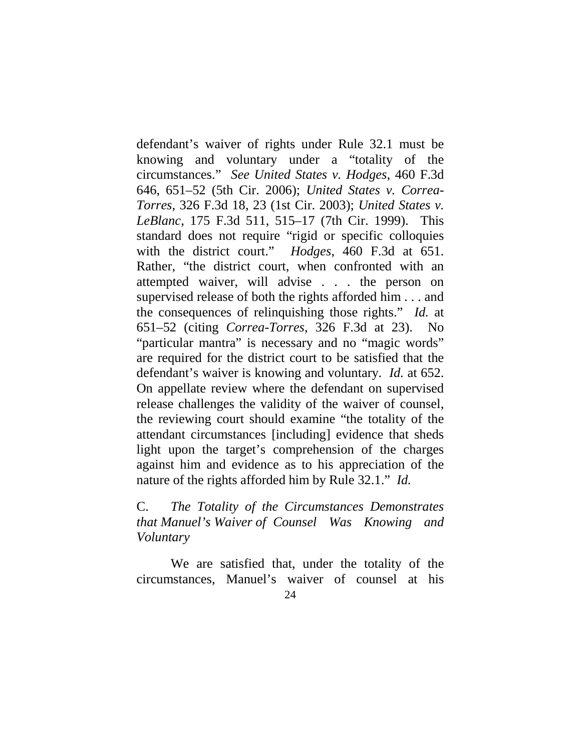defendant's waiver of rights under Rule 32.1 must be knowing and voluntary under a "totality of the circumstances." *See United States v. Hodges*, 460 F.3d 646, 651–52 (5th Cir. 2006); *United States v. Correa-Torres*, 326 F.3d 18, 23 (1st Cir. 2003); *United States v. LeBlanc*, 175 F.3d 511, 515–17 (7th Cir. 1999). This standard does not require "rigid or specific colloquies with the district court." *Hodges*, 460 F.3d at 651. Rather, "the district court, when confronted with an attempted waiver, will advise . . . the person on supervised release of both the rights afforded him . . . and the consequences of relinquishing those rights." *Id.* at 651–52 (citing *Correa-Torres*, 326 F.3d at 23). No "particular mantra" is necessary and no "magic words" are required for the district court to be satisfied that the defendant's waiver is knowing and voluntary. *Id.* at 652. On appellate review where the defendant on supervised release challenges the validity of the waiver of counsel, the reviewing court should examine "the totality of the attendant circumstances [including] evidence that sheds light upon the target's comprehension of the charges against him and evidence as to his appreciation of the nature of the rights afforded him by Rule 32.1." *Id.*

C. *The Totality of the Circumstances Demonstrates that Manuel's Waiver of Counsel Was Knowing and Voluntary*

We are satisfied that, under the totality of the circumstances, Manuel's waiver of counsel at his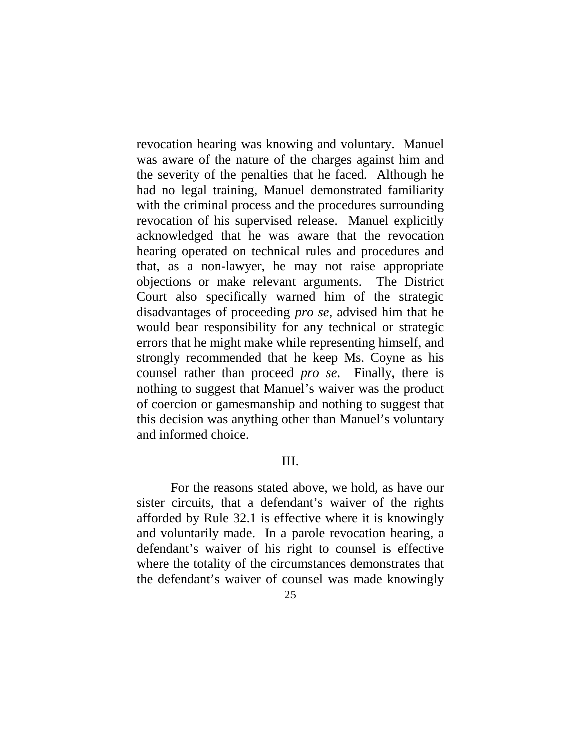revocation hearing was knowing and voluntary. Manuel was aware of the nature of the charges against him and the severity of the penalties that he faced. Although he had no legal training, Manuel demonstrated familiarity with the criminal process and the procedures surrounding revocation of his supervised release. Manuel explicitly acknowledged that he was aware that the revocation hearing operated on technical rules and procedures and that, as a non-lawyer, he may not raise appropriate objections or make relevant arguments. The District Court also specifically warned him of the strategic disadvantages of proceeding *pro se*, advised him that he would bear responsibility for any technical or strategic errors that he might make while representing himself, and strongly recommended that he keep Ms. Coyne as his counsel rather than proceed *pro se*. Finally, there is nothing to suggest that Manuel's waiver was the product of coercion or gamesmanship and nothing to suggest that this decision was anything other than Manuel's voluntary and informed choice.

## III.

For the reasons stated above, we hold, as have our sister circuits, that a defendant's waiver of the rights afforded by Rule 32.1 is effective where it is knowingly and voluntarily made. In a parole revocation hearing, a defendant's waiver of his right to counsel is effective where the totality of the circumstances demonstrates that the defendant's waiver of counsel was made knowingly